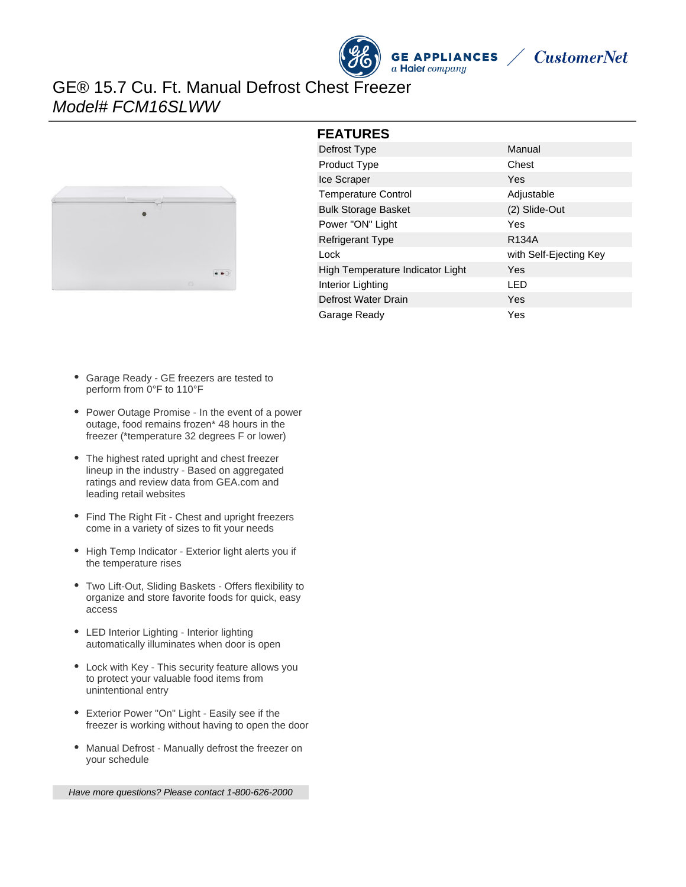



# GE® 15.7 Cu. Ft. Manual Defrost Chest Freezer Model# FCM16SLWW



#### **FEATURES**

| Manual<br>Chest<br>Adjustable |
|-------------------------------|
|                               |
|                               |
|                               |
|                               |
| (2) Slide-Out                 |
|                               |
| R <sub>134</sub> A            |
| with Self-Ejecting Key        |
|                               |
|                               |
|                               |
|                               |
|                               |

- Garage Ready GE freezers are tested to perform from 0°F to 110°F
- Power Outage Promise In the event of a power outage, food remains frozen\* 48 hours in the freezer (\*temperature 32 degrees F or lower)
- The highest rated upright and chest freezer lineup in the industry - Based on aggregated ratings and review data from GEA.com and leading retail websites
- Find The Right Fit Chest and upright freezers come in a variety of sizes to fit your needs
- High Temp Indicator Exterior light alerts you if the temperature rises
- Two Lift-Out, Sliding Baskets Offers flexibility to organize and store favorite foods for quick, easy access
- LED Interior Lighting Interior lighting automatically illuminates when door is open
- Lock with Key This security feature allows you to protect your valuable food items from unintentional entry
- Exterior Power "On" Light Easily see if the freezer is working without having to open the door
- Manual Defrost Manually defrost the freezer on your schedule

Have more questions? Please contact 1-800-626-2000